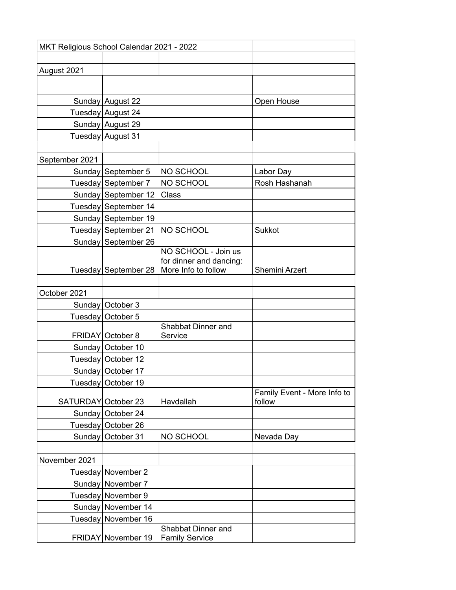| MKT Religious School Calendar 2021 - 2022 |                      |                                                                       |                                       |  |  |
|-------------------------------------------|----------------------|-----------------------------------------------------------------------|---------------------------------------|--|--|
| August 2021                               |                      |                                                                       |                                       |  |  |
|                                           |                      |                                                                       |                                       |  |  |
|                                           |                      |                                                                       |                                       |  |  |
|                                           | Sunday August 22     |                                                                       | Open House                            |  |  |
|                                           | Tuesday August 24    |                                                                       |                                       |  |  |
|                                           | Sunday August 29     |                                                                       |                                       |  |  |
|                                           | Tuesday August 31    |                                                                       |                                       |  |  |
|                                           |                      |                                                                       |                                       |  |  |
| September 2021                            |                      |                                                                       |                                       |  |  |
|                                           | Sunday September 5   | NO SCHOOL                                                             | Labor Day                             |  |  |
|                                           | Tuesday September 7  | NO SCHOOL                                                             | Rosh Hashanah                         |  |  |
|                                           | Sunday September 12  | Class                                                                 |                                       |  |  |
|                                           | Tuesday September 14 |                                                                       |                                       |  |  |
|                                           | Sunday September 19  |                                                                       |                                       |  |  |
|                                           | Tuesday September 21 | NO SCHOOL                                                             | Sukkot                                |  |  |
|                                           | Sunday September 26  |                                                                       |                                       |  |  |
|                                           | Tuesday September 28 | NO SCHOOL - Join us<br>for dinner and dancing:<br>More Info to follow | Shemini Arzert                        |  |  |
|                                           |                      |                                                                       |                                       |  |  |
| October 2021                              |                      |                                                                       |                                       |  |  |
|                                           | Sunday October 3     |                                                                       |                                       |  |  |
|                                           | Tuesday October 5    |                                                                       |                                       |  |  |
|                                           | FRIDAY October 8     | Shabbat Dinner and<br>Service                                         |                                       |  |  |
|                                           | Sunday October 10    |                                                                       |                                       |  |  |
|                                           | Tuesday   October 12 |                                                                       |                                       |  |  |
|                                           | Sunday   October 17  |                                                                       |                                       |  |  |
|                                           | Tuesday October 19   |                                                                       |                                       |  |  |
| SATURDAY October 23                       |                      | Havdallah                                                             | Family Event - More Info to<br>follow |  |  |
|                                           | Sunday October 24    |                                                                       |                                       |  |  |
|                                           | Tuesday October 26   |                                                                       |                                       |  |  |
|                                           | Sunday   October 31  | NO SCHOOL                                                             | Nevada Day                            |  |  |
|                                           |                      |                                                                       |                                       |  |  |
| November 2021                             |                      |                                                                       |                                       |  |  |
|                                           | Tuesday November 2   |                                                                       |                                       |  |  |
|                                           | Sunday   November 7  |                                                                       |                                       |  |  |
|                                           | Tuesday November 9   |                                                                       |                                       |  |  |
|                                           | Sunday November 14   |                                                                       |                                       |  |  |
|                                           | Tuesday November 16  |                                                                       |                                       |  |  |
|                                           | FRIDAY November 19   | Shabbat Dinner and<br><b>Family Service</b>                           |                                       |  |  |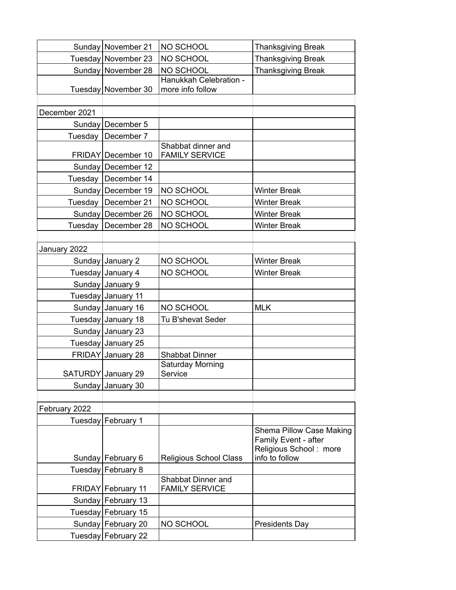|               | Sunday   November 21  | NO SCHOOL                                   | <b>Thanksgiving Break</b>                                                                    |
|---------------|-----------------------|---------------------------------------------|----------------------------------------------------------------------------------------------|
|               | Tuesday November 23   | NO SCHOOL                                   | <b>Thanksgiving Break</b>                                                                    |
|               | Sunday   November 28  | NO SCHOOL                                   | <b>Thanksgiving Break</b>                                                                    |
|               | Tuesday November 30   | Hanukkah Celebration -<br>more info follow  |                                                                                              |
|               |                       |                                             |                                                                                              |
| December 2021 |                       |                                             |                                                                                              |
|               | Sunday   December 5   |                                             |                                                                                              |
|               | Tuesday   December 7  |                                             |                                                                                              |
|               | FRIDAY December 10    | Shabbat dinner and<br><b>FAMILY SERVICE</b> |                                                                                              |
|               | Sunday   December 12  |                                             |                                                                                              |
|               | Tuesday   December 14 |                                             |                                                                                              |
|               | Sunday   December 19  | NO SCHOOL                                   | <b>Winter Break</b>                                                                          |
| Tuesday       | December 21           | NO SCHOOL                                   | <b>Winter Break</b>                                                                          |
|               | Sunday December 26    | NO SCHOOL                                   | <b>Winter Break</b>                                                                          |
| Tuesday       | December 28           | NO SCHOOL                                   | <b>Winter Break</b>                                                                          |
|               |                       |                                             |                                                                                              |
| January 2022  |                       |                                             |                                                                                              |
|               | Sunday January 2      | NO SCHOOL                                   | <b>Winter Break</b>                                                                          |
|               | Tuesday January 4     | NO SCHOOL                                   | <b>Winter Break</b>                                                                          |
|               | Sunday January 9      |                                             |                                                                                              |
|               | Tuesday January 11    |                                             |                                                                                              |
|               | Sunday January 16     | NO SCHOOL                                   | <b>MLK</b>                                                                                   |
|               | Tuesday January 18    | Tu B'shevat Seder                           |                                                                                              |
|               | Sunday January 23     |                                             |                                                                                              |
|               | Tuesday January 25    |                                             |                                                                                              |
|               | FRIDAY January 28     | <b>Shabbat Dinner</b>                       |                                                                                              |
|               | SATURDY January 29    | Saturday Morning<br>Service                 |                                                                                              |
|               | Sunday January 30     |                                             |                                                                                              |
|               |                       |                                             |                                                                                              |
| February 2022 |                       |                                             |                                                                                              |
|               | Tuesday February 1    |                                             |                                                                                              |
|               | Sunday   February 6   | Religious School Class                      | Shema Pillow Case Making<br>Family Event - after<br>Religious School: more<br>info to follow |
|               | Tuesday February 8    |                                             |                                                                                              |
|               | FRIDAY February 11    | Shabbat Dinner and<br><b>FAMILY SERVICE</b> |                                                                                              |
|               | Sunday February 13    |                                             |                                                                                              |
|               | Tuesday February 15   |                                             |                                                                                              |
|               | Sunday February 20    | NO SCHOOL                                   | <b>Presidents Day</b>                                                                        |
|               | Tuesday February 22   |                                             |                                                                                              |